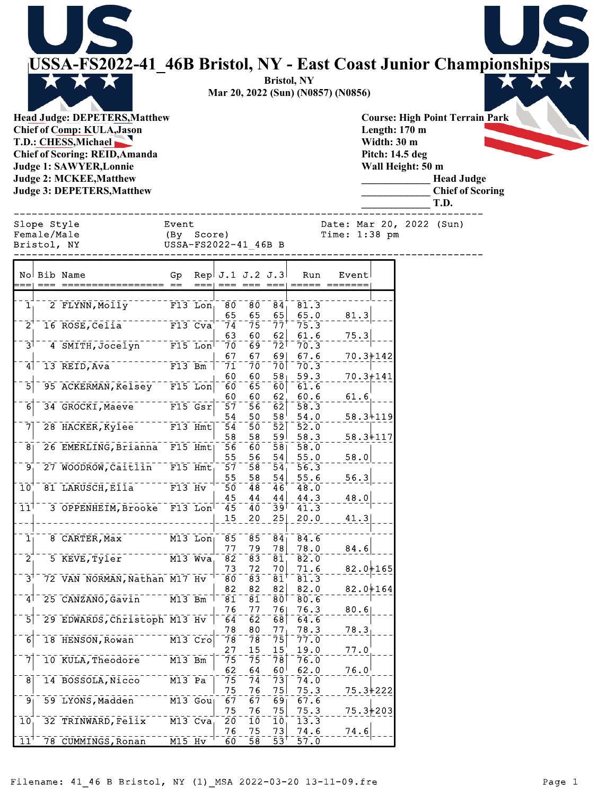|                                           | <b>USSA-FS2022-41 46B Bristol, NY - East Coast Junior Championships</b><br><b>Head Judge: DEPETERS, Matthew</b><br><b>Chief of Comp: KULA, Jason</b><br>T.D.: CHESS, Michael<br><b>Chief of Scoring: REID, Amanda</b><br><b>Judge 1: SAWYER, Lonnie</b><br><b>Judge 2: MCKEE, Matthew</b><br><b>Judge 3: DEPETERS, Matthew</b> |                                                             |                        |                                  |                                  | <b>Bristol, NY</b><br>Mar 20, 2022 (Sun) (N0857) (N0856) |                                             | Length: 170 m<br>Width: 30 m<br>Pitch: 14.5 deg | Wall Height: 50 m | <b>Course: High Point Terrain Park</b><br><b>Head Judge</b><br><b>Chief of Scoring</b><br>T.D. |  |
|-------------------------------------------|--------------------------------------------------------------------------------------------------------------------------------------------------------------------------------------------------------------------------------------------------------------------------------------------------------------------------------|-------------------------------------------------------------|------------------------|----------------------------------|----------------------------------|----------------------------------------------------------|---------------------------------------------|-------------------------------------------------|-------------------|------------------------------------------------------------------------------------------------|--|
| Slope Style<br>Female/Male<br>Bristol, NY |                                                                                                                                                                                                                                                                                                                                | Event<br>(By Score)<br>USSA-FS2022-41 46B B                 |                        |                                  |                                  |                                                          | Date: Mar 20, 2022 (Sun)<br>Time: $1:38$ pm |                                                 |                   |                                                                                                |  |
| No Bib Name                               |                                                                                                                                                                                                                                                                                                                                | Gp                                                          | Rep $J.1 J.2 J.3$      |                                  |                                  | Run<br>===  === === ===  ===== =======                   | Eventl                                      |                                                 |                   |                                                                                                |  |
| $\mathbf{1}_{\perp}$                      | 2 FLYNN, Molly F13 Lon                                                                                                                                                                                                                                                                                                         |                                                             | -80                    | 80                               | $\overline{84}$                  | 81.3                                                     |                                             |                                                 |                   |                                                                                                |  |
| $\overline{2}$                            | 16 ROSE, Celia <sup>---</sup>                                                                                                                                                                                                                                                                                                  | $  \overline{F13}$ $\overline{C} \overline{v} \overline{a}$ | 65<br>74               | 65<br>$-75$                      | 65<br>$\bar{7}\bar{7}$           | 65.0<br>75.3                                             | 81.3                                        |                                                 |                   |                                                                                                |  |
|                                           |                                                                                                                                                                                                                                                                                                                                |                                                             | 63                     | 60                               | 62                               | 61.6                                                     | 75.3                                        |                                                 |                   |                                                                                                |  |
| ∃5                                        | 4 SMITH, Jocelyn <sup>-----</sup> F15 Lon                                                                                                                                                                                                                                                                                      |                                                             | 7ō<br>67               | 69<br>67                         | $\bar{7}\bar{2}$ T<br>69         | 70.3<br>67.6                                             |                                             | $70.3 + 142$                                    |                   |                                                                                                |  |
| 4                                         | 13 REID, Ava F13 Bm                                                                                                                                                                                                                                                                                                            |                                                             | 71<br>60               | 7ō<br>60                         | 58 <sub>1</sub>                  | $70^-70.3$<br>59.3                                       |                                             | $70.3 + 141$                                    |                   |                                                                                                |  |
| 5                                         | 95 ACKERMAN, Kelsey F15 Lon                                                                                                                                                                                                                                                                                                    |                                                             | $\bar{6}\bar{0}$<br>60 | $\bar{6}5$<br>60                 | 60<br>62 <sub>1</sub>            | 61.6<br>60.6                                             | 61.6                                        |                                                 |                   |                                                                                                |  |
| 6                                         | 34 GROCKI, Maeve F15 Gsr                                                                                                                                                                                                                                                                                                       |                                                             | $\bar{5}\bar{7}$<br>54 | 56<br>50                         | $\overline{62}$<br>$58^{\circ}$  | 58.3<br>54.0                                             |                                             | 58.3+119                                        |                   |                                                                                                |  |
|                                           | 28 HACKER, Kylee F13 Hmt                                                                                                                                                                                                                                                                                                       |                                                             | $\overline{54}$        | 5ō1                              |                                  | $52^-52.0$                                               |                                             |                                                 |                   |                                                                                                |  |
|                                           | 8 26 EMERLING, Brianna F15 Hmt                                                                                                                                                                                                                                                                                                 |                                                             | 58<br>56               | 58<br>60                         | 59                               | 58.3<br>$\overline{58}$ $\overline{58.0}$                |                                             | $58.3 + 117$                                    |                   |                                                                                                |  |
| $\overline{9}$                            | 27 WOODROW, Caitlin                                                                                                                                                                                                                                                                                                            | $F15$ Hmt                                                   | 55<br>$\bar{5}\bar{7}$ | 56<br>$\overline{58}$            | 54<br>$\bar{54}$                 | 55.0<br>56.3                                             | 58.0                                        |                                                 |                   |                                                                                                |  |
| $\overline{10}$                           | 81 LARUSCH, Ella <sup>------</sup> F13 Hv                                                                                                                                                                                                                                                                                      |                                                             | 55<br>$\overline{50}$  | 58<br>$\overline{48}$            | 54<br>$\overline{4}\overline{6}$ | 55.6<br>48.0                                             | 56.3                                        |                                                 |                   |                                                                                                |  |
|                                           |                                                                                                                                                                                                                                                                                                                                |                                                             | 45                     | 44                               | 44                               | 44.3                                                     | 48.0                                        |                                                 |                   |                                                                                                |  |
| $11^1$                                    | 3 OPPENHEIM, Brooke F13 Lon                                                                                                                                                                                                                                                                                                    |                                                             | $\overline{45}$<br>15  | 40<br>20                         | ⊺وَڌ<br>25                       | 41.3<br>20.0                                             | 41.3                                        |                                                 |                   |                                                                                                |  |
| $\overline{1}$                            | 8 CARTER, Max                                                                                                                                                                                                                                                                                                                  | $M13$ Lon                                                   | $\bar{8}5$             | $\bar{8}\bar{5}$                 | $\overline{84}$                  | 84.6                                                     |                                             |                                                 |                   |                                                                                                |  |
| $\overline{2}^+$                          | 5 KEVE, Tyler                                                                                                                                                                                                                                                                                                                  | $\overline{M13}$ $\overline{W}$ va                          | 77<br>$\bar{8}\bar{2}$ | 79<br>$\bar{8}\bar{3}$           | 78<br>$\overline{81}$            | 78.0<br>82.0                                             | 84.6                                        |                                                 |                   |                                                                                                |  |
| $\bar{3}^{\dagger}$                       | 72 VAN NORMAN, Nathan M17 Hv                                                                                                                                                                                                                                                                                                   |                                                             | 73                     | 72                               | 70                               | 71.6                                                     |                                             | $82.0 + 165$                                    |                   |                                                                                                |  |
|                                           |                                                                                                                                                                                                                                                                                                                                |                                                             | 8Ō<br>82               | $\bar{8}\bar{3}$<br>82           | $\bar{8}\bar{1}^\dagger$<br>82   | 81.3<br>82.0                                             |                                             | $82.0 + 164$                                    |                   |                                                                                                |  |
| $\mathbf{4}^{\mathsf{T}}$                 | 25 CANZANO, Gavin                                                                                                                                                                                                                                                                                                              | $M13$ Bm                                                    | $\overline{81}$<br>76  | $\bar{8}\bar{1}$<br>77           | $\bar{8}\bar{0}$<br>76           | 80.6<br>76.3                                             | 80.6                                        |                                                 |                   |                                                                                                |  |
| $\overline{5}$                            | 29 EDWARDS, Christoph M13 Hv                                                                                                                                                                                                                                                                                                   |                                                             | $\bar{6}\bar{4}$<br>78 | $\bar{6}\bar{2}$<br>80           | $68$ [<br>77 <sub>1</sub>        | 64.6<br>78.3                                             | 78.3                                        |                                                 |                   |                                                                                                |  |
| $\overline{6}$                            | 18 HENSON, Rowan                                                                                                                                                                                                                                                                                                               | $M13$ $Cro$                                                 | 78                     | 78                               | $\bar{7}\bar{5}$<br>15           | 77.0                                                     |                                             |                                                 |                   |                                                                                                |  |
| $\bar{7}$                                 | 10 KULA, Theodore                                                                                                                                                                                                                                                                                                              | $\overline{M13}$ Bm                                         | 27<br>$\bar{7}5$       | 15<br>75                         | $\overline{78}$                  | 19.0<br>76.0                                             | 77.0                                        |                                                 |                   |                                                                                                |  |
| $\overline{8}$                            | 14 BOSSOLA, Nicco                                                                                                                                                                                                                                                                                                              | $M13$ Pa                                                    | 62<br>75               | 64<br>$\overline{7}\overline{4}$ | 60 <sup>1</sup><br>73            | 62.0<br>74.0                                             | 76.0                                        |                                                 |                   |                                                                                                |  |
| $\overline{9}$                            | 59 LYONS, Madden <sup>-----</sup> M13 Gou                                                                                                                                                                                                                                                                                      |                                                             | 75<br>$\bar{6}\bar{7}$ | 76<br>67                         | 75<br>$\overline{69}$            | 75.3<br>67.6                                             |                                             | $75.3 + 222$                                    |                   |                                                                                                |  |
| 10                                        | 32 TRINWARD, Felix                                                                                                                                                                                                                                                                                                             | $M13$ Cva                                                   | 75<br>20               | 76<br>$\overline{10}$            | 75<br>10                         | 75.3<br>13.3                                             |                                             | $75.3 + 203$                                    |                   |                                                                                                |  |
|                                           |                                                                                                                                                                                                                                                                                                                                |                                                             | 76                     | 75                               | 73                               | 74.6                                                     | 74.6                                        |                                                 |                   |                                                                                                |  |
| 11'                                       | 78 CUMMINGS, Ronan                                                                                                                                                                                                                                                                                                             | $M15$ Hv                                                    | $\bar{60}$             | $\overline{58}$                  | $\bar{5}\bar{3}$ <sup>T</sup>    | 57.0                                                     |                                             |                                                 |                   |                                                                                                |  |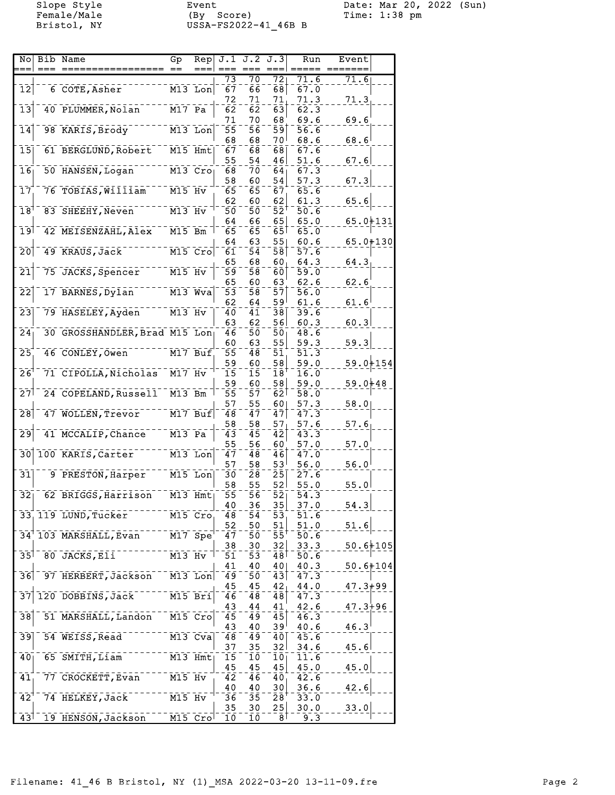Female/Male (By Score) Time: 1:38 pm Bristol, NY USSA-FS2022-41\_46B B

Slope Style Event Date: Mar 20, 2022 (Sun)

| NO                                        | Bib Name                      | Gp                   | Rep                  |                        |          | $J.1$ $J.2$ $J.3$     | Run                  | Event          |  |
|-------------------------------------------|-------------------------------|----------------------|----------------------|------------------------|----------|-----------------------|----------------------|----------------|--|
|                                           |                               |                      |                      |                        |          |                       |                      |                |  |
|                                           |                               |                      |                      | 73                     | 70       | $\overline{72}$       | 71.6                 | 71.6           |  |
| $\overline{1}\overline{2}$                | 6 COTE, Asher                 |                      | $M13$ Lon            | $\bar{6}\bar{7}$       | 66       | 68]                   | 67.0                 |                |  |
|                                           |                               |                      |                      | 72                     | 71       | 71                    | 71.3                 | 71.3           |  |
| $\overline{1}\overline{3}$                | 40 PLUMMER, Nolan             | $\overline{M17}$ Pa  |                      | $\bar{6}\bar{2}$       | ōΣ       | $\overline{63}$       | 62.3                 |                |  |
|                                           |                               |                      |                      | 71                     | 70       | 68                    | 69.6                 | 69.6           |  |
| $\overline{1}\overline{4}$                | 98 KARIS, Brody               |                      | $M13$ Lon            | 55                     | 56       | 591                   | 56.6                 |                |  |
|                                           |                               |                      |                      | 68                     | 68       | ا 70                  | 68.6                 | 68.6           |  |
| 15                                        | 61 BERGLUND, Robert           |                      | M15 Hmt              | 67                     | 68       | 68                    | 67.6                 |                |  |
| $\overline{1}\overline{6}$                | 50 HANSEN, Logan              |                      | $M13$ $Cro$          | 55<br>$\bar{6}\bar{8}$ | 54       | 46                    | 51.6<br>67.3         | 67.6           |  |
|                                           |                               |                      |                      | 58                     | 70<br>60 | 64 <sub>1</sub><br>54 |                      |                |  |
| $\overline{17}$                           | 76 TOBIAS, William            | $M15$ Hv             |                      | $\bar{6}\bar{5}$       | 65       |                       | 57.3<br>65.6         | 67.3           |  |
|                                           |                               |                      |                      | 62                     | 60       | 67<br>62              | 61.3                 | 65.6           |  |
| $\bar{1}8^{\bar{}}$                       | 83 SHEEHY, Neven              | $\overline{M13}$ Hv  |                      | 5ō                     | 50       | 52'                   | $\bar{50}.\bar{6}$   |                |  |
|                                           |                               |                      |                      | 64                     | 66       | 65                    | 65.0                 | $65.0 + 131$   |  |
| 1وَ 1                                     | 42 MEISENZAHL, Alex           | $M15$ Bm             |                      | $\bar{6}\bar{5}$       | 65       | $\bar{6}5$            | 65.0                 |                |  |
|                                           |                               |                      |                      | 64                     | 63       | 55                    | 60.6                 | $65.0 + 130$   |  |
| $\bar{2}\bar{0}$                          | 49 KRAUS, Jack                |                      | $M15$ Cro            | 61                     | 54       | 58                    | $\bar{5}\bar{7}$ . 6 |                |  |
|                                           |                               |                      |                      | 65                     | 68       | 60,                   | 64.3                 | 64.3           |  |
| $\bar{2}\bar{1}$                          | 75 JACKS, Spencer             | $M15$ Hv             |                      | 59                     | 58       | 60                    | 59.0                 |                |  |
|                                           |                               |                      |                      | 65                     | 60       | 63                    | 62.6                 | 62.6           |  |
| $\overline{2}\overline{2}$                | 17 BARNES, Dylan              |                      | $M13$ Wva            | 53                     | 58       | 57                    | 56.0                 |                |  |
|                                           |                               |                      |                      | 62                     | 64       | ا 59                  | 61.6                 | 61.6           |  |
| $\bar{2}\bar{3}$                          | 79 HASELEY, Ayden             | $\overline{M13}$ Hv  |                      | 40                     | 41       | 38                    | 39.6                 |                |  |
|                                           |                               |                      |                      | 63                     | 62       | 56                    | 60.3                 | 60.3           |  |
| $\overline{24}$                           | 30 GROSSHANDLER, Brad M15 Lon |                      |                      | 46                     | 50       | 50 <sub>1</sub>       | 48.6                 |                |  |
|                                           |                               |                      |                      | 60                     | 63       | 55                    | 59.3                 | 59.3           |  |
| $\overline{25}$                           | 46 CONLEY, Owen               |                      | M17 Buf              | $\bar{5}5$             | 48       | 51                    | 51.3                 |                |  |
|                                           |                               |                      |                      | 59                     | 60       | 58                    | 59.0                 | 59.0+154       |  |
| $\overline{26}$                           | 71 CIPOLLA, Nicholas          | $\overline{M17}$ Hv  |                      | $\bar{1}\bar{5}$       | 15       | 18                    | $\bar{1}\bar{6}$ .0  |                |  |
|                                           |                               |                      |                      | 59                     | 60       | 58                    | 59.0                 | $59.0 + 48$    |  |
| $\bar{2}7$                                | 24 COPELAND, Russell M13 Bm   |                      |                      | $\bar{5}\bar{5}$       | 57       | $\overline{62}$       | 58.0                 |                |  |
|                                           |                               |                      |                      | 57                     | 55       | 60 <sub>1</sub>       | 57.3                 | 58.0           |  |
| $\overline{28}$                           | 47 WOLLEN, Trevor             |                      | $M17$ Buf            | 48                     | 47       | 47                    | 47.3                 |                |  |
|                                           |                               |                      |                      | 58                     | 58       | 57                    | 57.6                 | 57.6           |  |
| $\bar{2}\bar{9}$                          | 41 MCCALIP, Chance            | $M13$ Pa             |                      | $\bar{4}3$             | 45       | $\bar{4}2$            | 43.3                 |                |  |
|                                           |                               |                      |                      | 55                     | 56       | 60                    | 57.0                 | 57.0           |  |
| $\overline{30}$                           | 100 KARIS, Carter             | $\overline{M13}$ Lon |                      | $\bar{4}\bar{7}$       | 48       | 46                    | 47.0                 |                |  |
|                                           |                               |                      |                      | 57                     | 58       | 53 <sup>1</sup>       | 56.0                 | 56.0           |  |
| 31                                        | 9 PRESTON, Harper             |                      | M15 Lon              | Зō                     | 28       | $\bar{2}\bar{5}$      | 27.6                 |                |  |
|                                           |                               |                      |                      | 58                     | 55       | 52                    | 55.0                 | 55.0           |  |
| $\overline{3}\overline{2}$                | 62 BRIGGS, Harrison           |                      | $M13$ Hmt            | 55                     | 5ō       | $\bar{5}\bar{2}$      | $\overline{54.3}$    |                |  |
|                                           |                               |                      |                      | 40                     | 36       | 35                    | 37.0                 | 54.3           |  |
|                                           | 33 119 LUND, Tucker           | M15 Cro              |                      | 48                     | 54       | $\overline{53}$       | 51.6                 |                |  |
|                                           |                               |                      |                      | 52                     | 50       | $51\vert$             | 51.0                 | 51.6           |  |
|                                           | 34 103 MARSHALL, Evan         |                      | $\overline{M17}$ Spe | 47                     | 50       | 55'                   | 50.6                 |                |  |
|                                           |                               |                      |                      | 38                     | 30       | 32                    | 33.3                 | $50.6 + 105$   |  |
| $\overline{35}$                           | 80 JACKS, EII                 | $M13$ Hv             |                      | 51                     | 53       | 48                    | 50.6                 |                |  |
|                                           |                               |                      |                      | 41                     | 40       | 40                    | 40.3                 | $50.6 + 104$   |  |
| 36                                        | 97 HERBERT, Jackson           |                      | $M13$ Lon            | 49                     | 50       | 43                    | 47.3                 |                |  |
|                                           |                               |                      |                      | 45                     | 45       | 42 <sub>1</sub>       | 44.0                 | $47.3 + 99$    |  |
|                                           | 20 DOBBINS, Jack              |                      | $\overline{M15}$ Bri | $\overline{46}$        | 48       | 48                    | $\bar{4}\bar{7}$ .3  |                |  |
|                                           |                               |                      |                      | 43                     | 44       | 41                    | 42.6                 | $47.3 + 96$    |  |
| $\overline{38}$                           | 51 MARSHALL, Landon           | $M15$ Cro            |                      | $\overline{45}$        | 49       | 45                    | 46.3                 |                |  |
|                                           |                               |                      |                      | 43                     | 40       | ا 39                  | 40.6                 | $46.3^{\circ}$ |  |
| 39                                        | 54 WEISS, Read                |                      | $M13$ Cva            | 48                     | 49       | 40                    | 45.6                 |                |  |
|                                           |                               |                      |                      | 37                     | 35       | 32 I                  | 34.6                 | 45.6           |  |
| $\bar{40}$                                | $65$ $S$ $N$ ITH, $L$ iam     | $M13$ Hmt            |                      | $\overline{15}$        | 10       | 10 <sub>1</sub>       | 11.6                 |                |  |
|                                           |                               |                      |                      | 45                     | 45       | 45                    | 45.0                 | 45.0           |  |
| 41                                        | 77 CROCKETT, Evan             | $M15$ Hv             |                      | $\overline{42}$        | 46       | 40 <sub>1</sub>       | 42.6                 |                |  |
|                                           |                               |                      |                      | 40                     | 40       | 30                    | 36.6                 | 42.6           |  |
| $\overline{42}$                           | 74 HELKEY, Jack               | $M15$ Hv             |                      | $\bar{36}$             | 35       | 28'                   | 33.0                 |                |  |
|                                           |                               |                      |                      | 35                     | 30       | 25                    | 30.0                 | 33.0           |  |
| $43$ <sup><math>\overline{1}</math></sup> | 19 HENSON, Jackson            |                      | $M15$ $Crol$         | 10                     | īō       | 8 <sup>1</sup>        | 9.3                  |                |  |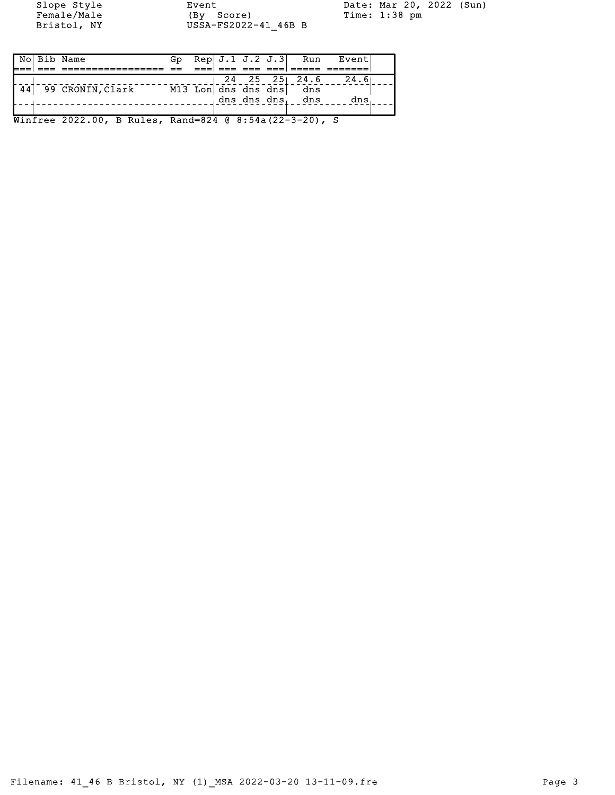Female/Male (By Score) Time: 1:38 pm Bristol, NY USSA-FS2022-41\_46B B

Slope Style Event Date: Mar 20, 2022 (Sun)

|    | No  Bib Name                                           | Gp. |  |          |                         | $\mathsf{Rep}[\, \mathtt{J.1\, \ J.2\, \ J.3}]\quad\mathsf{Run}\quad\mathsf{Event}\,,$ |  |
|----|--------------------------------------------------------|-----|--|----------|-------------------------|----------------------------------------------------------------------------------------|--|
|    |                                                        |     |  | === ===! |                         |                                                                                        |  |
|    |                                                        |     |  |          |                         | $24$ 25 25 24.6 24.6                                                                   |  |
| 44 | 99 CRONIN, Clark                                       |     |  |          | M13 Lon dns dns dns dns |                                                                                        |  |
|    |                                                        |     |  |          | dns dns dns, dns        | dns                                                                                    |  |
|    |                                                        |     |  |          |                         |                                                                                        |  |
|    | Winfree 2022.00, B Rules, Rand=824 @ 8:54a(22-3-20), S |     |  |          |                         |                                                                                        |  |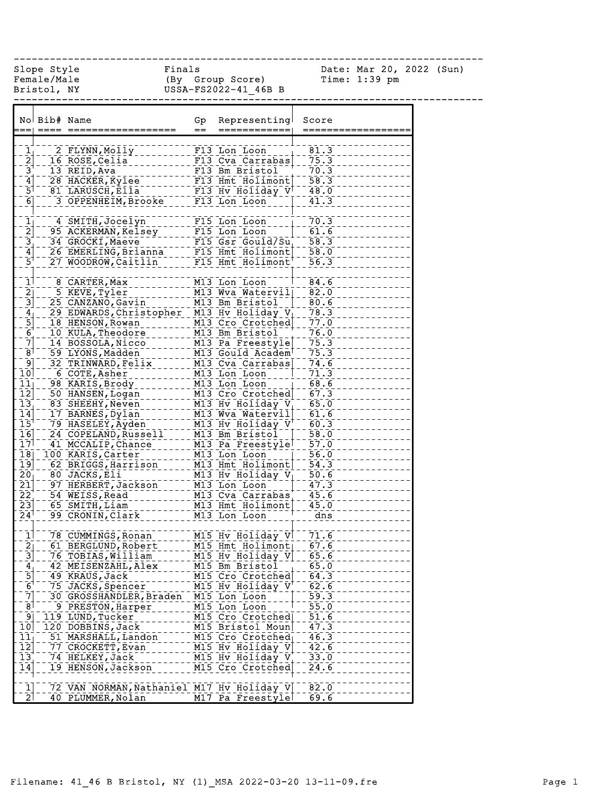|                                           | Finals<br>Slope Style |                                            |     |                                                                                                                                                                                                                                                                                                                                                                                                                                                                                 |                                  | Date: Mar 20, 2022 (Sun) |  |
|-------------------------------------------|-----------------------|--------------------------------------------|-----|---------------------------------------------------------------------------------------------------------------------------------------------------------------------------------------------------------------------------------------------------------------------------------------------------------------------------------------------------------------------------------------------------------------------------------------------------------------------------------|----------------------------------|--------------------------|--|
|                                           | Female/Male           |                                            |     | (By Group Score)                                                                                                                                                                                                                                                                                                                                                                                                                                                                |                                  | Time: $1:39$ pm          |  |
|                                           | Bristol, NY           |                                            |     | USSA-FS2022-41 46B B                                                                                                                                                                                                                                                                                                                                                                                                                                                            |                                  |                          |  |
|                                           |                       |                                            |     |                                                                                                                                                                                                                                                                                                                                                                                                                                                                                 |                                  |                          |  |
|                                           |                       |                                            |     |                                                                                                                                                                                                                                                                                                                                                                                                                                                                                 |                                  |                          |  |
|                                           | No Bib# Name          |                                            | Gp  | Representing                                                                                                                                                                                                                                                                                                                                                                                                                                                                    | Score                            |                          |  |
|                                           |                       | :==  ====  ======:                         | $=$ | ============                                                                                                                                                                                                                                                                                                                                                                                                                                                                    | ====:                            |                          |  |
|                                           |                       |                                            |     |                                                                                                                                                                                                                                                                                                                                                                                                                                                                                 |                                  |                          |  |
| $\frac{1}{2}$                             |                       | 2 FLYNN, Molly                             |     | F13 Lon Loon                                                                                                                                                                                                                                                                                                                                                                                                                                                                    | 81.3                             |                          |  |
|                                           |                       | 16 ROSE, Celia                             |     | F13 Cva Carrabas                                                                                                                                                                                                                                                                                                                                                                                                                                                                | 75.3                             |                          |  |
| $\frac{3}{4}$                             |                       | 13 REID, Ava                               |     | F13 Bm Bristol                                                                                                                                                                                                                                                                                                                                                                                                                                                                  | 70.3                             |                          |  |
|                                           |                       | 28 HACKER, Kylee F13 Hmt Holimont          |     |                                                                                                                                                                                                                                                                                                                                                                                                                                                                                 | 58.3                             |                          |  |
| $\bar{5}$                                 |                       | 81 LARUSCH, Ella                           |     | $\overline{\phantom{0}}$ $\overline{\phantom{0}}$ $\overline{\phantom{0}}$ $\overline{\phantom{0}}$ $\overline{\phantom{0}}$ $\overline{\phantom{0}}$ $\overline{\phantom{0}}$ $\overline{\phantom{0}}$ $\overline{\phantom{0}}$ $\overline{\phantom{0}}$ $\overline{\phantom{0}}$ $\overline{\phantom{0}}$ $\overline{\phantom{0}}$ $\overline{\phantom{0}}$ $\overline{\phantom{0}}$ $\overline{\phantom{0}}$ $\overline{\phantom{0}}$ $\overline{\phantom{0}}$ $\overline{\$ | 48.0                             |                          |  |
| $\overline{6}$                            |                       | 3 OPPENHEIM, Brooke                        |     | F13 Lon Loon                                                                                                                                                                                                                                                                                                                                                                                                                                                                    | 41.3                             |                          |  |
|                                           |                       |                                            |     |                                                                                                                                                                                                                                                                                                                                                                                                                                                                                 |                                  |                          |  |
| 1                                         |                       | 4 SMITH, Jocelyn                           |     | F15 Lon Loon                                                                                                                                                                                                                                                                                                                                                                                                                                                                    | 70.3                             |                          |  |
| $\overline{2}$                            |                       | 95 ACKERMAN, Kelsey                        |     | F15 Lon Loon                                                                                                                                                                                                                                                                                                                                                                                                                                                                    | 61.6                             |                          |  |
| $\bar{3}^+$                               |                       | 34 GROCKI, Maeve                           |     | F15 Gsr Gould/Su                                                                                                                                                                                                                                                                                                                                                                                                                                                                | $\overline{58.3}$                |                          |  |
| $\left[4\right]$                          |                       | 26 EMERLING, Brigna _____ FIS_Hmt_Holimont |     |                                                                                                                                                                                                                                                                                                                                                                                                                                                                                 | 58.0                             |                          |  |
| $\bar{5}^{\dagger}$                       |                       | 27 WOODROW, Caitlin                        |     | F15 Hmt Holimont                                                                                                                                                                                                                                                                                                                                                                                                                                                                | 56.3                             |                          |  |
|                                           |                       |                                            |     |                                                                                                                                                                                                                                                                                                                                                                                                                                                                                 |                                  |                          |  |
| $\mathbf{1}^{\mathsf{T}}$                 |                       | 8 CARTER, Max                              |     | M13 Lon Loon                                                                                                                                                                                                                                                                                                                                                                                                                                                                    | 84.6                             |                          |  |
| $\overline{2}$                            |                       | 5 KEVE, Tyler                              |     | M13 Wva Watervill                                                                                                                                                                                                                                                                                                                                                                                                                                                               | 82.0                             |                          |  |
| $\overline{3}$                            |                       | 25 CANZANO, Gavin                          |     | M13 Bm Bristol                                                                                                                                                                                                                                                                                                                                                                                                                                                                  | 80.6                             |                          |  |
| $\frac{4}{5}$<br>$\frac{5}{6}$            |                       | 29 EDWARDS, Christopher                    |     | M13 Hv Holiday $V_{\perp}$                                                                                                                                                                                                                                                                                                                                                                                                                                                      | 78.3                             |                          |  |
|                                           |                       | 18 HENSON, Rowan                           |     | M13 Cro Crotched                                                                                                                                                                                                                                                                                                                                                                                                                                                                | 77.0                             |                          |  |
|                                           |                       | 10 KULA, Theodore                          |     | M13 Bm Bristol                                                                                                                                                                                                                                                                                                                                                                                                                                                                  | 76.0                             |                          |  |
| $\bar{[7]}$                               |                       | 14 BOSSOLA, Nicco                          |     | M13 Pa Freestyle                                                                                                                                                                                                                                                                                                                                                                                                                                                                | 75.3                             |                          |  |
| $\bar{8}$                                 |                       | 59 LYONS, Madden                           |     | M13 Gould Academ                                                                                                                                                                                                                                                                                                                                                                                                                                                                | 75.3                             |                          |  |
| ⊺و⊺                                       |                       | 32 TRINWARD, Felix                         |     | M13 Cva Carrabas                                                                                                                                                                                                                                                                                                                                                                                                                                                                | 74.6                             |                          |  |
| $\overline{10}$                           |                       | 6 COTE, Asher                              |     | M13 Lon Loon                                                                                                                                                                                                                                                                                                                                                                                                                                                                    | 71.3                             |                          |  |
| 11                                        |                       | 98 KARIS, Brody                            |     | M13 Lon Loon                                                                                                                                                                                                                                                                                                                                                                                                                                                                    | 68.6                             |                          |  |
| $\overline{1}\overline{2}$                |                       | 50 HANSEN, Logan                           |     | M13 Cro Crotched                                                                                                                                                                                                                                                                                                                                                                                                                                                                | 67.3                             |                          |  |
| $\overline{13}$                           |                       | 83 SHEEHY, Neven                           |     | M13 Hv Holiday V                                                                                                                                                                                                                                                                                                                                                                                                                                                                | 65.0                             |                          |  |
| 14                                        |                       | 17 BARNES, Dylan                           |     | M13 Wva Watervil                                                                                                                                                                                                                                                                                                                                                                                                                                                                | 61.6                             |                          |  |
| $\overline{15}$ <sup>1</sup>              |                       | 79 HASELEY, Ayden                          |     | M13 Hv Holiday V                                                                                                                                                                                                                                                                                                                                                                                                                                                                | 60.3                             |                          |  |
| 16                                        |                       | 24 COPELAND, Russell                       |     | M13 Bm Bristol                                                                                                                                                                                                                                                                                                                                                                                                                                                                  | 58.0                             |                          |  |
| 17                                        |                       | 41 MCCALIP, Chance                         |     | M13 Pa Freestyle                                                                                                                                                                                                                                                                                                                                                                                                                                                                | 57.0<br>$\overline{\phantom{0}}$ |                          |  |
| $\overline{18}$                           |                       | 100 KARIS, Carter                          |     | M13 Lon Loon                                                                                                                                                                                                                                                                                                                                                                                                                                                                    | $\overline{56.0}$                |                          |  |
| $\overline{19}$                           |                       | 62 BRIGGS, Harrison                        |     | $M13$ Hmt $H$ olimont                                                                                                                                                                                                                                                                                                                                                                                                                                                           | $\overline{54.3}$                |                          |  |
| 20                                        |                       | 80 JACKS, Eli                              |     | M13 Hv Holiday $V_{\parallel}$                                                                                                                                                                                                                                                                                                                                                                                                                                                  | 50.6                             |                          |  |
| $\overline{21}$                           |                       | 97 HERBERT, Jackson                        |     | M13 Lon Loon                                                                                                                                                                                                                                                                                                                                                                                                                                                                    | 47.3                             |                          |  |
| $\overline{2}\overline{2}$                |                       | 54 WEISS, Read                             |     | M13 Cva Carrabas                                                                                                                                                                                                                                                                                                                                                                                                                                                                | 45.6                             |                          |  |
| $\overline{2}3$                           |                       | 65 SMITH, Liam                             |     | M13 Hmt Holimont                                                                                                                                                                                                                                                                                                                                                                                                                                                                | 45.0                             |                          |  |
| $24$ <sup>1</sup>                         |                       | 99 CRONIN, Clark                           |     | M13 Lon Loon                                                                                                                                                                                                                                                                                                                                                                                                                                                                    | ans                              |                          |  |
|                                           |                       |                                            |     |                                                                                                                                                                                                                                                                                                                                                                                                                                                                                 |                                  |                          |  |
| $rac{1}{2}$ $rac{2}{3}$                   |                       | 78 CUMMINGS, Ronan                         |     | M15 Hv Holiday V                                                                                                                                                                                                                                                                                                                                                                                                                                                                | 71.6                             |                          |  |
|                                           |                       | 61 BERGLUND, Robert                        |     | M15 Hmt Holimont                                                                                                                                                                                                                                                                                                                                                                                                                                                                | 67.6                             |                          |  |
|                                           |                       | 76 TOBIAS, William                         |     | M15 Hv Holiday V                                                                                                                                                                                                                                                                                                                                                                                                                                                                | 65.6                             |                          |  |
| $\frac{4}{5}$ $\frac{5}{6}$ $\frac{6}{7}$ |                       | 42 MEISENZAHL, Alex                        |     | M15 Bm Bristol                                                                                                                                                                                                                                                                                                                                                                                                                                                                  | 65.0                             |                          |  |
|                                           |                       | 49 KRAUS, Jack                             |     | M15 Cro Crotched                                                                                                                                                                                                                                                                                                                                                                                                                                                                | 64.3                             |                          |  |
|                                           |                       | 75 JACKS, Spencer                          |     | M15 Hv Holiday V                                                                                                                                                                                                                                                                                                                                                                                                                                                                | 62.6                             |                          |  |
|                                           |                       | 30 GROSSHANDLER, Braden                    |     | M15 Lon Loon                                                                                                                                                                                                                                                                                                                                                                                                                                                                    | 59.3                             |                          |  |
| $\bar{8}$                                 |                       | 9 PRESTON, Harper                          |     | M15 Lon Loon                                                                                                                                                                                                                                                                                                                                                                                                                                                                    | 55.0                             |                          |  |
| ⊺و⊺                                       |                       | 119 LUND, Tucker                           |     | M15 Cro Crotched                                                                                                                                                                                                                                                                                                                                                                                                                                                                | 51.6                             |                          |  |
| 10                                        |                       | 120 DOBBINS, Jack                          |     | M15 Bristol Moun                                                                                                                                                                                                                                                                                                                                                                                                                                                                | 47.3                             |                          |  |
| $\overline{1}\overline{1}$                |                       | 51 MARSHALL, Landon                        |     | M15 Cro Crotched                                                                                                                                                                                                                                                                                                                                                                                                                                                                | 46.3                             |                          |  |
| $\overline{1}\overline{2}$                |                       | 77 CROCKETT, Evan                          |     | M15 Hv Holiday V                                                                                                                                                                                                                                                                                                                                                                                                                                                                | 42.6                             |                          |  |
| $\overline{13}$                           |                       | 74 HELKEY, Jack                            |     | M15 Hv Holiday V                                                                                                                                                                                                                                                                                                                                                                                                                                                                | 33.0                             |                          |  |
| $\frac{14}{1}$                            |                       | 19 HENSON, Jackson                         |     | M15 Cro Crotched                                                                                                                                                                                                                                                                                                                                                                                                                                                                | 24.6                             |                          |  |
|                                           |                       |                                            |     |                                                                                                                                                                                                                                                                                                                                                                                                                                                                                 |                                  |                          |  |
| $\mathbf{\bar{1}}$                        |                       | 72 VAN NORMAN, Nathaniel M17 Hv Holiday V  |     |                                                                                                                                                                                                                                                                                                                                                                                                                                                                                 | 82.0                             |                          |  |
| $\overline{2}$                            |                       | 40 PLUMMER, Nolan                          |     | M17 Pa Freestyle                                                                                                                                                                                                                                                                                                                                                                                                                                                                | 69.6                             |                          |  |

------------------------------------------------------------------------------